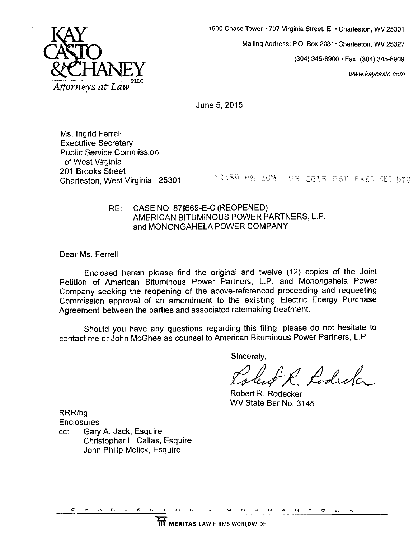

**1500 Chase Tower** \* **707 Virginia Street,** E. **Charleston, WV 25301 Mailing Address:** P.O. **Box 2031 Charleston, WV 25327 (304) 345-8900** - **Fa: (304) 345-8909**  *[www.kaycasto.com](http://www.kaycasto.com)* 

June **5,2015** 

Ms. Ingrid Ferrell Executive Secretary Public Service Commission of West Virginia<br>201 Brooks Street

**2012 Charleston, West Virginia 25301 12:59 PM JUN 05 2015 PSC EXEC SEC DIV** 

## RE: CASE NO. 874669-E-C (REOPENED) AMERICAN BITUMINOUS POWER PARTNERS, L.P. and MONONGAHELA POWER COMPANY

Dear Ms. Ferrell:

Enclosed herein please find the original and twelve **(12)** copies of the Joint Petition of American Bituminous Power Partners, L.P. and Monongahela Power Company seeking the reopening of the above-referenced proceeding and requesting Commission approval of an amendment to the existing Electric Energy Purchase Agreement between the parties and associated ratemaking treatment.

contact me or John McGhee **as** counsel to American Bituminous Power Partners, L.P. Should you have any questions regarding this filing, please do not hesitate to

Sincerely,

obut R. Rodesta

Robert R. Rodecker WV State Bar No. **3145** 

RRRlbg **Enclosures** 

cc: Gary A. Jack, Esquire Christopher L. Callas, Esquire John Philip Melick, Esquire

**CHARLESTON MORGANTOWN**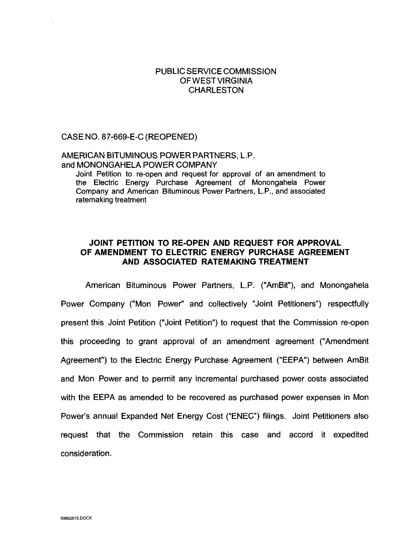### PUBLIC SERVICE COMMISSION OFWESTVIRGINIA **CHARLESTON**

CASE NO. 87-669-E-C (REOPENED)

### AMERICAN BITUMINOUS POWER PARTNERS, L.P. and MONONGAHELA POWER COMPANY

Joint Petition to re-open and request for approval of an amendment to the Electric Energy Purchase Agreement of Monongahela Power Company and American Bituminous Power Partners, L.P., and associated ratemaking treatment

## **JOINT PETITION TO RE-OPEN AND REQUEST FOR APPROVAL OF AMENDMENT TO ELECTRIC ENERGY PURCHASE AGREEMENT AND ASSOCIATED RATEMAKING TREATMENT**

American Bituminous Power Partners, L.P. ("AmBit"), and Monongahela Power Company ("Mon Power" and collectively "Joint Petitioners") respectfully present this Joint Petition ("Joint Petition") to request that the Commission re-open this proceeding to grant approval of an amendment agreement ("Amendment Agreement") to the Electric Energy Purchase Agreement ("EEPA") between AmBit and Mon Power and to permit any incremental purchased power costs associated with the EEPA as amended **to** be recovered as purchased power expenses in Mon Power's annual Expanded Net Energy Cost ("ENEC") filings. Joint Petitioners also request that the Commission retain this case and accord it expedited consideration.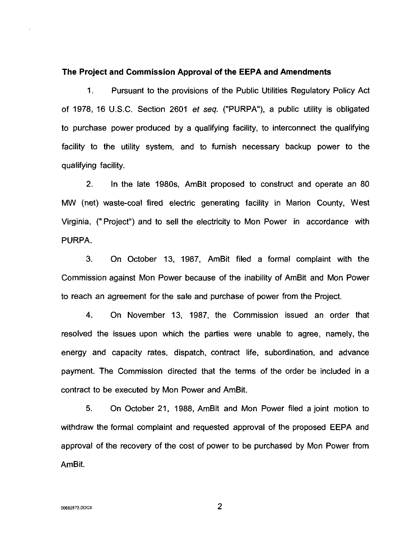### **The Project and Commission Approval of the EEPA and Amendments**

1. Pursuant to the provisions of the Public Utilities Regulatory Policy Act of 1978, 16 U.S.C. Section 2601 et *seq.* ("PURPA), a public utility is obligated to purchase power produced by a qualifying facility, to interconnect the qualifying facility to the utility system, and to furnish necessary backup power to the qualifying facility.

2. In the late 1980s, AmBit proposed to construct and operate an 80 MW (net) waste-coal fired electric generating facility in Marion County, West Virginia, ("Project") and to sell the electricity to Mon Power in accordance with PURPA.

3. On October 13, 1987, AmBit filed a formal complaint with the Commission against Mon Power because of the inability of AmBit and Mon Power to reach an agreement for the sale and purchase of power from the Project.

**4.** On November 13, 1987, the Commission issued an order that resolved the issues upon which the parties were unable to agree, namely, the energy and capacity rates, dispatch, contract life, subordination, and advance payment. The Commission directed that the terms of the order be included in a contract to be executed by Mon Power and AmBit.

**5.** On October 21, 1988, AmBit and Mon Power filed a joint motion to withdraw the formal complaint and requested approval of the proposed EEPA and approval of the recovery of the cost of power to be purchased by Mon Power from AmBit.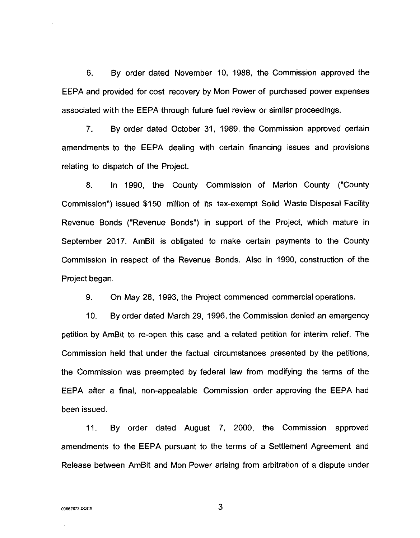6. By order dated November 10, 1988, the Commission approved the EEPA and provided for cost recovery by Mon Power of purchased power expenses associated with the EEPA through future fuel review or similar proceedings.

7. By order dated October 31, 1989, the Commission approved certain amendments to the EEPA dealing with certain financing issues and provisions relating to dispatch of the Project.

8. In 1990, the County Commission of Marion County ("County Commission") issued \$150 million of its tax-exempt Solid Waste Disposal Facility Revenue Bonds ("Revenue Bonds") in support of the Project, which mature in September 2017. AmBit is obligated to make certain payments to the County Commission in respect of the Revenue Bonds. Also in 1990, construction of the Project began.

9. On May 28, 1993, the Project commenced commercial operations.

10. By order dated March 29, 1996, the Commission denied an emergency petition by AmBit to re-open this case and a related petition for interim relief. The Commission held that under the factual circumstances presented by the petitions, the Commission was preempted by federal law from modifying the terms of the EEPA after a final, non-appealable Commission order approving the EEPA had been issued.

11. By order dated August 7, 2000, the Commission approved amendments to the EEPA pursuant to the terms of a Settlement Agreement and Release between AmBit and Mon Power arising from arbitration of a dispute under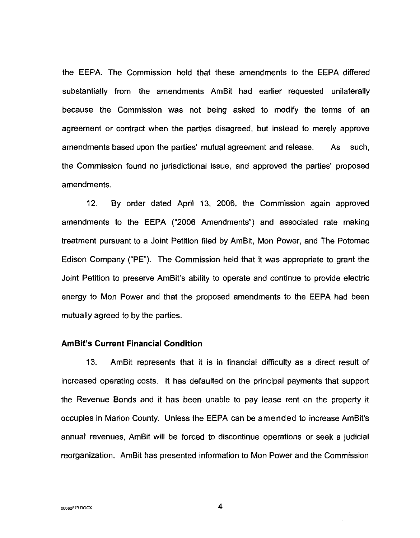the EEPA. The Commission held that these amendments to the EEPA differed substantially from the amendments AmBit had earlier requested unilaterally because the Commission was not being asked to modify the terms of an agreement or contract when the parties disagreed, but instead to merely approve amendments based upon the parties' mutual agreement and release. **As** such, the Commission found no jurisdictional issue, and approved the parties' proposed amendments.

12. By order dated April 13, 2006, the Commission again approved amendments to the EEPA ("2006 Amendments") and associated rate making treatment pursuant to a Joint Petition filed by AmBit, Mon Power, and The Potomac Edison Company ("PE"). The Commission held that it was appropriate to grant the Joint Petition to preserve AmBit's ability to operate and continue to provide electric energy to Mon Power and that the proposed amendments to the EEPA had been mutually agreed to by the parties.

### **AmBit's Current Financial Condition**

13. AmBit represents that it is in financial difficulty as a direct result of increased operating costs. It has defaulted on the principal payments that support the Revenue Bonds and it has been unable to pay lease rent on the property it occupies in Marion County. Unless the EEPA can be amended to increase AmBit's annual revenues, AmBit will be forced to discontinue operations or seek a judicial reorganization. AmBit has presented information to Mon Power and the Commission

**4**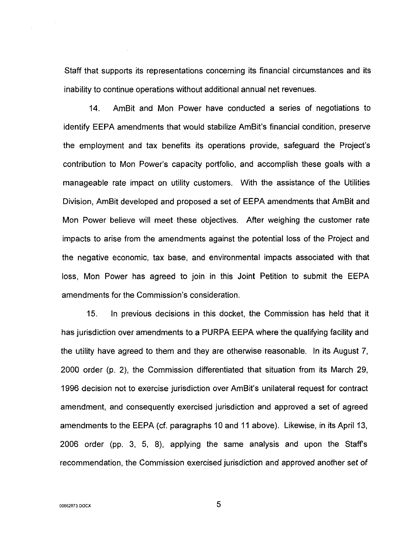Staff that supports its representations concerning its financial circumstances and its inability to continue operations without additional annual net revenues.

14. AmBit and Mon Power have conducted a series of negotiations to identify EEPA amendments that would stabilize AmBit's financial condition, preserve the employment and tax benefits its operations provide, safeguard the Project's contribution to Mon Power's capacity portfolio, and accomplish these goals with a manageable rate impact on utility customers. With the assistance of the Utilities Division, AmBit developed and proposed a set of EEPA amendments that AmBit and Mon Power believe will meet these objectives. After weighing the customer rate impacts to arise from the amendments against the potential loss of the Project and the negative economic, tax base, and environmental impacts associated with that loss, Mon Power has agreed to join in this Joint Petition to submit the EEPA amendments for the Commission's consideration.

15. In previous decisions in this docket, the Commission has held that it has jurisdiction over amendments to a PURPA EEPA where the qualifying facility and the utility have agreed to them and they are otherwise reasonable. In its August 7, 2000 order (p. 2), the Commission differentiated that situation from its March 29, 1996 decision not to exercise jurisdiction over AmBit's unilateral request for contract amendment, and consequently exercised jurisdiction and approved a set of agreed amendments to the EEPA (cf. paragraphs 10 and 11 above). Likewise, in its April 13, 2006 order (pp. 3, 5, 8), applying the same analysis and upon the Staffs recommendation, the Commission exercised jurisdiction and approved another set of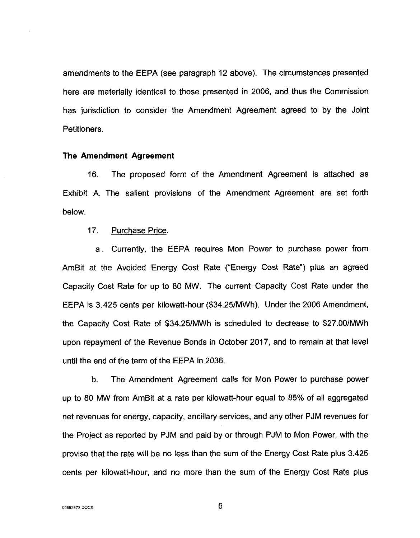amendments to the EEPA (see paragraph 12 above). The circumstances presented here are materially identical to those presented in 2006, and thus the Commission has jurisdiction to consider the Amendment Agreement agreed to by the Joint Petitioners.

### **The Amendment Agreement**

16. The proposed form of the Amendment Agreement is attached as Exhibit A. The salient provisions of the Amendment Agreement are set forth below.

### 17. Purchase Price.

a. Currently, the EEPA requires Mon Power to purchase power from AmBit at the Avoided Energy Cost Rate ("Energy Cost Rate") plus an agreed Capacity Cost Rate for up to 80 MW. The current Capacity Cost Rate under the EEPA is 3.425 cents per kilowatt-hour (\$34.25/MWh). Under the 2006 Amendment, the Capacity Cost Rate of \$34.25/MWh is scheduled to decrease to \$27.00/MWh upon repayment of the Revenue Bonds in October 2017, and to remain at that level until the end of the term of the EEPA in 2036.

b. The Amendment Agreement calls for Mon Power to purchase power up to 80 MW from AmBit at a rate per kilowatt-hour equal to *85%* of all aggregated net revenues for energy, capacity, ancillary services, and any other PJM revenues for the Project as reported by PJM and paid by or through PJM to Mon Power, with the proviso that the rate will be no less than the sum of the Energy Cost Rate plus 3.425 cents per kilowatt-hour, and no more than the sum of the Energy Cost Rate plus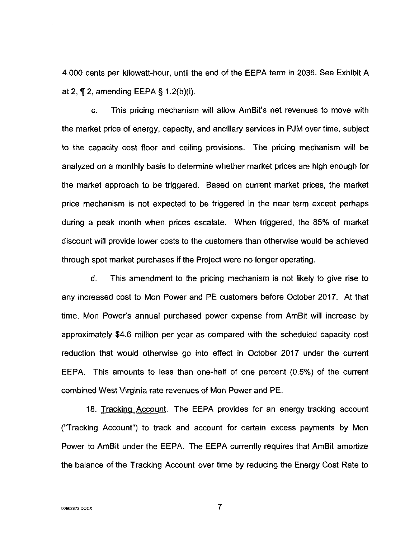4.000 cents per kilowatt-hour, until the end of the EEPA term in 2036. See Exhibit A at 2, 1, 2, amending EEPA § 1.2(b)(i).

c. This pricing mechanism will allow AmBit's net revenues to move with the market price of energy, capacity, and ancillary services in PJM over time, subject to the capacity cost floor and ceiling provisions. The pricing mechanism will be analyzed on a monthly basis to determine whether market prices are high enough for the market approach to be triggered. Based on current market prices, the market price mechanism is not expected to be triggered in the near term except perhaps during a peak month when prices escalate. When triggered, the 85% of market discount will provide lower costs to the customers than otherwise would be achieved through spot market purchases if the Project were no longer operating.

d. This amendment to the pricing mechanism is not likely to give rise to any increased cost to Mon Power and PE customers before October 2017. At that time, Mon Power's annual purchased power expense from AmBit will increase by approximately \$4.6 million per year as compared with the scheduled capacity cost reduction that would otherwise go into effect in October 2017 under the current EEPA. This amounts to less than one-half of one percent (0.5%) of the current combined West Virginia rate revenues of Mon Power and PE.

18. Tracking Account. The EEPA provides for an energy tracking account ("Tracking Account") to track and account for certain excess payments by Mon Power to AmBit under the EEPA. The EEPA currently requires that AmBit amortize the balance of the Tracking Account over time by reducing the Energy Cost Rate to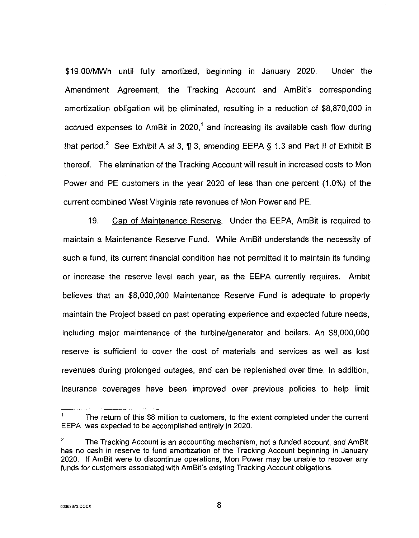\$19.00/MWh until fully amortized, beginning in January 2020. Under the Amendment Agreement, the Tracking Account and AmBit's corresponding amortization obligation will be eliminated, resulting in a reduction of \$8,870,000 in accrued expenses to AmBit in  $2020$ ,<sup>1</sup> and increasing its available cash flow during that period.' See Exhibit A at 3, **13,** amending EEPA § 1.3 and Part II of Exhibit B thereof. The elimination of the Tracking Account will result in increased costs to Mon Power and PE customers in the year 2020 of less than one percent (1.0%) of the current combined West Virginia rate revenues of Mon Power and PE.

19. Cap of Maintenance Reserve. Under the EEPA, AmBit is required to maintain a Maintenance Reserve Fund. While AmBit understands the necessity of such a fund, its current financial condition has not permitted it to maintain its funding or increase the reserve level each year, as the EEPA currently requires. Ambit believes that an \$8,000,000 Maintenance Reserve Fund is adequate to properly maintain the Project based on past operating experience and expected future needs, including major maintenance of the turbinelgenerator and boilers. An \$8,000,000 reserve is sufficient to cover the cost of materials and services as well as lost revenues during prolonged outages, and can be replenished over time. In addition, insurance coverages have been improved over previous policies to help limit

The return of this *58* million to customers, to the extent completed under the current EEPA, was expected to be accomplished entirely in 2020. **1** 

The Tracking Account is an accounting mechanism, not a funded account, and AmBit has no cash in reserve to fund amortization of the Tracking Account beginning in January 2020. If AmBit were to discontinue operations, Mon Power may be unable to recover any funds for customers associated with AmBit's existing Tracking Account obligations. **2**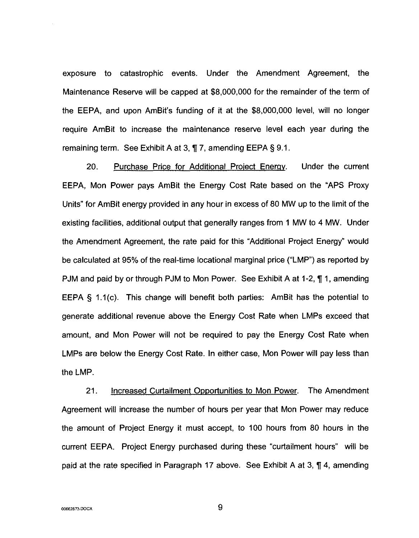exposure to catastrophic events. Under the Amendment Agreement, the Maintenance Reserve will be capped at \$8,000,000 for the remainder of the term of the EEPA, and upon AmBit's funding of it at the \$8,000,000 level, will no longer require AmBit to increase the maintenance reserve level each year during the remaining term. See Exhibit A at 3, **7** 7, amending EEPA § 9.1.

20. Purchase Price for Additional Proiect Enerqy. Under the current EEPA, Mon Power pays AmBit the Energy Cost Rate based on the "APS Proxy Units" for AmBit energy provided in any hour in excess of 80 MW up to the limit of the existing facilities, additional output that generally ranges from 1 MW to **4** MW. Under the Amendment Agreement, the rate paid for this "Additional Project Energy" would be calculated at 95% of the real-time locational marginal price ("LMP") as reported by PJM and paid by or through PJM to Mon Power. See Exhibit A at 1-2,  $\P$  1, amending EEPA  $§$  1.1(c). This change will benefit both parties: AmBit has the potential to generate additional revenue above the Energy Cost Rate when LMPs exceed that amount, and Mon Power will not be required to pay the Energy Cost Rate when LMPs are below the Energy Cost Rate. In either case, Mon Power will pay less than the LMP.

21. Increased Curtailment Opportunities to Mon Power. The Amendment Agreement will increase the number of hours per year that Mon Power may reduce the amount of Project Energy it must accept, to 100 hours from 80 hours in the current EEPA. Project Energy purchased during these "curtailment hours" will be paid at the rate specified in Paragraph 17 above. See Exhibit A at 3, **7 4,** amending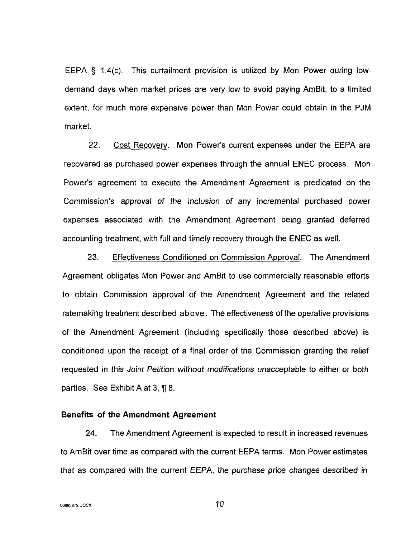EEPA § 1.4(c). This curtailment provision is utilized by Mon Power during lowdemand days when market prices are very low to avoid paying AmBit, to a limited extent, for much more expensive power than Mon Power could obtain in the PJM market.

22. Cost Recovery. Mon Power's current expenses under the EEPA are recovered as purchased power expenses through the annual ENEC process. Mon Power's agreement to execute the Amendment Agreement is predicated on the Commission's approval of the inclusion of any incremental purchased power expenses associated with the Amendment Agreement being granted deferred accounting treatment, with full and timely recovery through the ENEC as well.

23. Effectiveness Conditioned on Commission Approval. The Amendment Agreement obligates Mon Power and AmBit to use commercially reasonable efforts to obtain Commission approval of the Amendment Agreement and the related ratemaking treatment described above. The effectiveness of the operative provisions of the Amendment Agreement (including specifically those described above) is conditioned upon the receipt of a final order of the Commission granting the relief requested in this Joint Petition without modifications unacceptable to either or both parties. See Exhibit A at 3, **f** 8.

### **Benefits of the Amendment Agreement**

24. The Amendment Agreement is expected to result in increased revenues to AmBit over time as compared with the current EEPA terms. Mon Power estimates that as compared with the current EEPA, the purchase price changes described in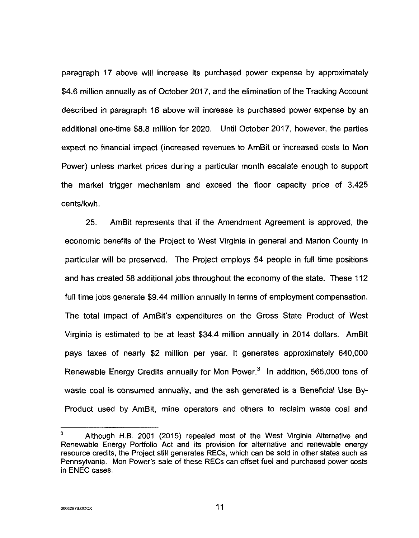paragraph **17** above will increase its purchased power expense by approximately \$4.6 million annually as of October 2017, and the elimination of the Tracking Account described in paragraph 18 above will increase its purchased power expense by an additional one-time \$8.8 million for 2020. Until October 2017, however, the parties expect no financial impact (increased revenues to AmBit or increased costs to Mon Power) unless market prices during a particular month escalate enough to support the market trigger mechanism and exceed the floor capacity price of 3.425 cents/kwh.

25. AmBit represents that if the Amendment Agreement is approved, the economic benefits of the Project to West Virginia in general and Marion County in particular will be preserved. The Project employs 54 people in full time positions and has created 58 additional jobs throughout the economy of the state. These 112 full time jobs generate \$9.44 million annually in terms of employment compensation. The total impact of AmBit's expenditures on the Gross State Product *of* West Virginia is estimated to be at least \$34.4 million annually in 2014 dollars. AmBit pays taxes of nearly \$2 million per year. It generates approximately 640,000 Renewable Energy Credits annually for Mon Power.<sup>3</sup> In addition, 565,000 tons of waste coal **is** consumed annually, and the ash generated **is** a Beneficial Use By-Product used by AmBit, mine operators and others to reclaim waste coal and

Although **H.B.** 2001 (2015) repealed most of the West Virginia Alternative and Renewable Energy Portfolio Act and its provision for alternative and renewable energy resource credits, the Project still generates RECs, which can be sold in other states such **as**  Pennsylvania. Mon Power's sale of these RECs can offset fuel and purchased power costs in ENEC cases. **3**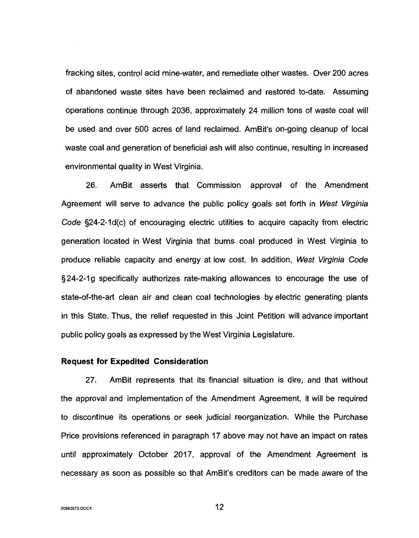fracking sites, control acid mine-water, and remediate other wastes. Over 200 acres of abandoned waste sites have been reclaimed and restored to-date. Assuming operations continue through 2036, approximately 24 million tons of waste coal will be used and over 500 acres of land reclaimed. AmBit's on-going cleanup of local waste coal and generation of beneficial ash will also continue, resulting in increased environmental quality in West Virginia.

26. AmBit asserts that Commission approval of the Amendment Agreement will serve to advance the public policy goals set forth in West *Vjrgjnia Code* §24-2-1 d(c) of encouraging electric utilities to acquire capacity from electric generation located in West Virginia that burns coal produced in West Virginia to produce reliable capacity and energy at low cost. In addition, West *Vjrginia Code*  §24-2-19 specifically authorizes rate-making allowances to encourage the use of state-of-the-art clean air and clean coal technologies by electric generating plants in this State. Thus, the relief requested in this Joint Petition will advance important public policy goals as expressed by the West Virginia Legislature.

### **Request for Expedited Consideration**

27. AmBit represents that its financial situation is dire, and that without the approval and implementation of the Amendment Agreement, it will be required to discontinue its operations or seek judicial reorganization. While the Purchase Price provisions referenced in paragraph 17 above may not have an impact on rates until approximately October 2017, approval of the Amendment Agreement is necessary as soon as possible so that AmBit's creditors can be made aware of the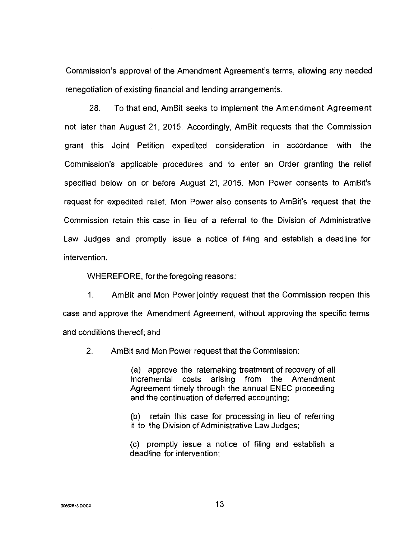Commission's approval of the Amendment Agreement's terms, allowing any needed renegotiation of existing financial and lending arrangements

28. To that end, AmBit seeks to implement the Amendment Agreement not later than August 21, 2015. Accordingly, AmBit requests that the Commission grant this Joint Petition expedited consideration in accordance with the Commission's applicable procedures and to enter an Order granting the relief specified below on or before August **21,** 2015. Mon Power consents to AmBit's request for expedited relief. Mon Power also consents to AmBit's request that the Commission retain this case in lieu of a referral to the Division of Administrative Law Judges and promptly issue a notice of filing and establish a deadline for intervention.

WHEREFORE, for the foregoing reasons:

1. AmBit and Mon Power jointly request that the Commission reopen this case and approve the Amendment Agreement, without approving the specific terms and conditions thereof; and

2. AmBit and Mon Power request that the Commission:

(a) approve the ratemaking treatment of recovery of all incremental costs arising from the Amendment Agreement timely through the annual ENEC proceeding and the continuation of deferred accounting;

(b) it to the Division of Administrative Law Judges; retain this case for processing in lieu of referring

(c) promptly issue a notice of filing and establish a deadline for intervention;

**00662873 DOCX** 13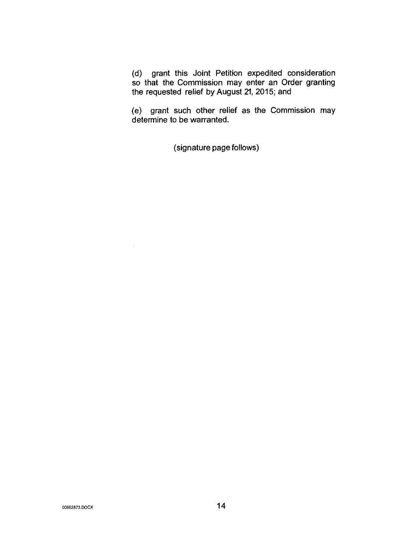(d) grant this Joint Petition expedited consideration so that the Commission may enter an Order granting the requested relief by August 21, **2015;** and

(e) grant such other relief as the Commission may determine to be warranted.

(signature page follows)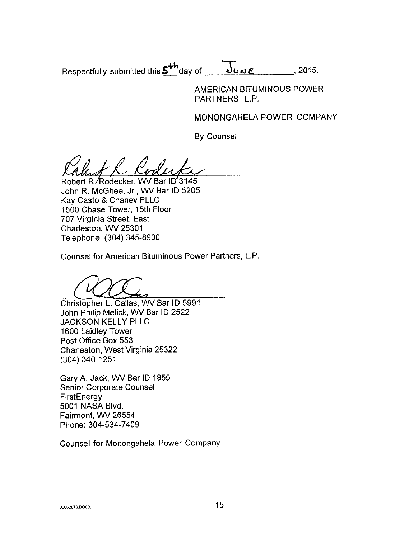Respectfully submitted this  $5^{th}$  day of **Table 2015.** 2015.

AMERICAN BITUMINOUS POWER PARTNERS. L.P.

MONONGAHELA POWER COMPANY

By Counsel

Robert R. Rodecker, WV Bar ID'3145 John R. McGhee, Jr., WV Bar ID 5205 Kay Casto & Chaney PLLC 1500 Chase Tower, 15th Floor 707 Virginia Street, East Charleston, WV 25301 Telephone: (304) 345-8900

Counsel for American Bituminous Power Partners, L.P.

Christopher L. Callas, WV Bar ID 599 John Philip Melick, WV Bar ID 2522 JACKSON KELLY PLLC 1600 Laidley Tower Post Office **Box** 553 Charleston, West Virginia 25322 (304) 340-1251

Gary A. Jack, WV Bar ID 1855 Senior Corporate Counsel **FirstEnergy** 5001 NASA Blvd. Fairmont, WV 26554 Phone: 304-534-7409

Counsel for Monongahela Power Company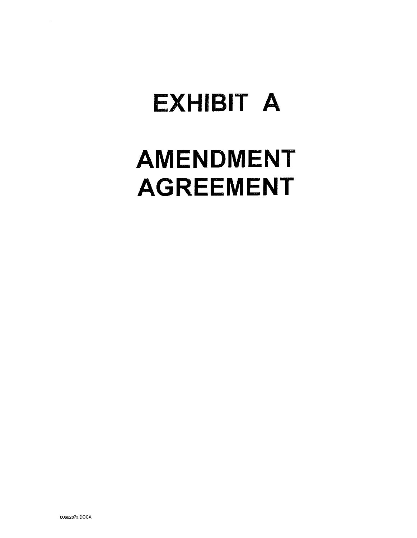# **EXHIBIT A**

## **AMENDMENT AGREEMENT**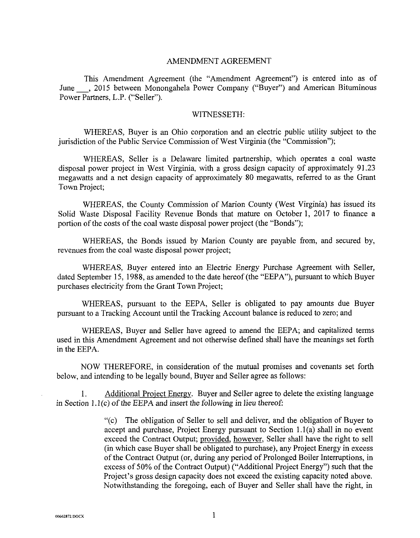### AMENDMENT AGREEMENT

This Amendment Agreement (the "Amendment Agreement") is entered into as of June -, <sup>201</sup>*5* between Monongahela Power Company ("Buyer") and American Bituminous Power Partners, L.P. ("Seller").

#### WITNESSETH:

WHEREAS, Buyer is an Ohio corporation and an electric public utility subject to the jurisdiction of the Public Service Commission of West Virginia (the "Commission");

WHEREAS, Seller is a Delaware limited partnership, which operates a coal waste disposal power project in West Virginia, with a gross design capacity of approximately 91.23 megawatts and a net design capacity of approximately 80 megawatts, referred to as the Grant Town Project;

WHEREAS, the County Commission of Marion County (West Virginia) has issued its Solid Waste Disposal Facility Revenue Bonds that mature on October 1, 2017 to finance a portion of the costs of the coal waste disposal power project (the "Bonds");

WHEREAS, the Bonds issued by Marion County are payable from, and secured by, revenues from the coal waste disposal power project;

WHEREAS, Buyer entered into an Electric Energy Purchase Agreement with Seller, dated September 15, 1988, as amended to the date hereof (the "EEPA"), pursuant to which Buyer purchases electricity from the Grant Town Project;

WHEREAS, pursuant to the EEPA, Seller is obligated to pay amounts due Buyer pursuant to a Tracking Account until the Tracking Account balance is reduced to zero; and

WHEREAS, Buyer and Seller have agreed to amend the EEPA; and capitalized terms used in this Amendment Agreement and not otherwise defined shall have the meanings set forth in the EEPA.

NOW THEREFORE, in consideration of the mutual promises and covenants set forth below, and intending to be legally bound, Buyer and Seller agree as follows:

1. Additional Proiect Energy. Buyer and Seller agree to delete the existing language in Section 1.1(c) of the EEPA and insert the following in lieu thereof:

> "(c) The obligation of Seller to sell and deliver, and the obligation of Buyer to accept and purchase, Project Energy pursuant to Section l.l(a) shall in no event exceed the Contract Output; provided, however, Seller shall have the right to sell (in which case Buyer shall be obligated to purchase), any Project Energy in excess of the Contract Output (or, during any period of Prolonged Boiler Interruptions, in excess of 50% of the Contract Output) ("Additional Project Energy") such that the Project's gross design capacity does not exceed the existing capacity noted above. Notwithstanding the foregoing, each of Buyer and Seller shall have the right, in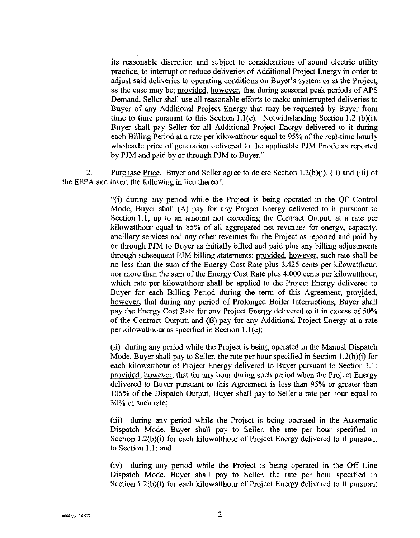its reasonable discretion and subject to considerations of sound electric utility practice, to interrupt or reduce deliveries of Additional Project Energy in order to adjust said deliveries to operating conditions on Buyer's system or at the Project, as the case may be; provided, however, that during seasonal peak periods of APS Demand, Seller shall use all reasonable efforts to make uninterrupted deliveries to Buyer of any Additional Project Energy that may he requested by Buyer from time to time pursuant to this Section 1.1(c). Notwithstanding Section 1.2 (b)(i), Buyer shall pay Seller for all Additional Project Energy delivered to it during each Billing Period at a rate per kilowatthour equal to *95%* of the real-time hourly wholesale price of generation delivered to the applicable PJM Pnode as reported by PJM and paid by or through PJM to Buyer."

2. Purchase Price. Buyer and Seller agree to delete Section 1.2(b)(i), (ii) and (iii) of the EEPA and insert the following in lieu thereof:

> "(i) during any period while the Project is being operated in the QF Control Mode, Buyer shall (A) pay for any Project Energy delivered to it pursuant to Section **1.1,** up to an amount not exceeding the Contract Output, at a rate per kilowatthour equal to *85%* of all aggregated net revenues for energy, capacity, ancillary services and any other revenues for the Project as reported and paid by or through PJM to Buyer as initially billed and paid plus any billing adjustments through subsequent PJM billing statements; provided, however, such rate shall be no less than the sum of the Energy Cost Rate plus 3.425 cents per kilowatthour, nor more than the sum of the Energy Cost Rate plus 4,000 cents per kilowatthour, which rate per kilowatthour shall be applied to the Project Energy delivered to Buyer for each Billing Period during the term of this Agreement; provided, however, that during any period of Prolonged Boiler Interruptions, Buyer shall pay the Energy Cost Rate for any Project Energy delivered to it in excess of *50%*  of the Contract Output; and (B) pay for any Additional Project Energy at a rate per kilowatthour as specified in Section  $1.1(c)$ ;

> (ii) during any period while the Project **is** being operated in the Manual Dispatch Mode, Buyer shall pay to Seller, the rate per hour specified in Section 1.2(b)(i) for each kilowatthour of Project Energy delivered to Buyer pursuant to Section 1.1; provided, however, that for any hour during such period when the Project Energy delivered to Buyer pursuant to this Agreement is less than *95%* or greater than 105% of the Dispatch Output, Buyer shall pay to Seller a rate per hour equal to 30% of such rate;

> (iii) during any period while the Project is being operated in the Automatic Dispatch Mode, Buyer shall pay to Seller, the rate per hour specified in Section 1.2(b)(i) for each kilowatthour of Project Energy delivered to it pursuant to Section 1.1 ; and

> (iv) during any period while the Project is being operated in the Off Line Dispatch Mode, Buyer shall pay to Seller, the rate per hour specified in Section  $1.2(b)(i)$  for each kilowatthour of Project Energy delivered to it pursuant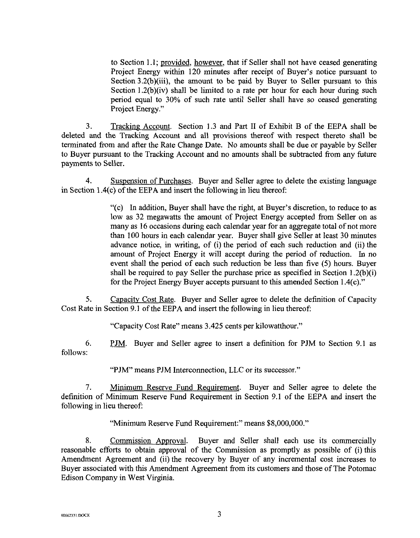to Section 1.1; provided, however, that if Seller shall not have ceased generating Project Energy within 120 minutes after receipt of Buyer's notice pursuant to Section 3.2(b)(iii), the amount to be paid by Buyer to Seller pursuant to this Section 1.2(b)(iv) shall be limited to a rate per hour for each hour during such period equal to 30% of such rate until Seller shall have so ceased generating Project Energy."

Tracking Account. Section 1.3 and Part **I1** of Exhibit B of the EEPA shall be deleted and the Tracking Account and all provisions thereof with respect thereto shall be terminated from and after the Rate Change Date. No amounts shall be due or payable by Seller to Buyer pursuant to the Tracking Account and no amounts shall be subtracted from any future payments to Seller. 3.

4. Suspension of Purchases. Buyer and Seller agree to delete the existing language in Section 1.4(c) of the EEPA and insert the following in lieu thereof

> "(c) In addition, Buyer shall have the right, at Buyer's discretion, to reduce to as low as 32 megawatts the amount of Project Energy accepted from Seller on as many as 16 occasions during each calendar year for an aggregate total of not more than 100 hours in each calendar year. Buyer shall give Seller at least 30 minutes advance notice, in writing, of (i) the period of each such reduction and (ii) the amount of Project Energy it will accept during the period of reduction. In no event shall the period of each such reduction be less than five (5) hours. Buyer shall be required to pay Seller the purchase price as specified in Section  $1.2(b)(i)$ for the Project Energy Buyer accepts pursuant to this amended Section 1.4(c)."

5. Capacity Cost Rate. Buyer and Seller agree to delete the definition of Capacity Cost Rate in Section 9.1 of the EEPA and insert the following in lieu thereof:

"Capacity Cost Rate" means 3.425 cents per kilowatthour."

*6.* **PJM.** Buyer and Seller agree to insert a definition for PJM to Section **9.1** as follows:

"PJM" means PJM Interconnection, LLC or its successor."

7. Minimum Reserve Fund Requirement. Buyer and Seller agree to delete the definition of Minimum Reserve Fund Requirement in Section 9.1 of the EEPA and insert the following in lieu thereof:

"Minimum Reserve Fund Requirement:" means \$8,000,000.''

8. Commission Approval. Buyer and Seller shall each use its commercially reasonable efforts to obtain approval of the Commission as promptly as possible of (i) this Amendment Agreement and (ii) the recovery by Buyer of any incremental cost increases to Buyer associated with this Amendment Agreement from its customers and those of The Potomac Edison Company in West Virginia.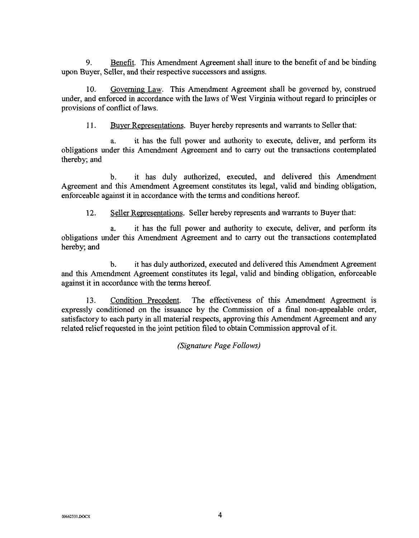**9.** Benefit. This Amendment Agreement shall inure to the benefit of and be binding upon Buyer, Seller, and their respective successors and assigns.

10. Governing Law. This Amendment Agreement shall he governed by, construed under, and enforced in accordance with the laws of West Virginia without regard to principles or provisions of conflict of laws.

11. Buver Representations. Buver hereby represents and warrants to Seller that:

it has the full power and authority to execute, deliver, and perform its obligations under this Amendment Agreement and to carry out the transactions contemplated thereby; and

b. it has duly authorized, executed, and delivered this Amendment Agreement and this Amendment Agreement constitutes its legal, valid and binding obligation, enforceable against it in accordance with the terms and conditions hereof.

12. Seller Representations. Seller hereby represents and warrants to Buyer that:

a. it has the full power and authority to execute, deliver, and perform its obligations under this Amendment Agreement and to carry out the transactions contemplated hereby; and

b. it has duly authorized, executed and delivered this Amendment Agreement and this Amendment Agreement constitutes its legal, valid and binding obligation, enforceable against **it** in accordance with the terms hereof.

13. Condition Precedent. The effectiveness of this Amendment Agreement is expressly conditioned on the issuance by the Commission of a final non-appealable order, satisfactory to each party in all material respects, approving this Amendment Agreement and any related relief requested in the joint petition filed to obtain Commission approval of it.

*(Signature Page Follows)*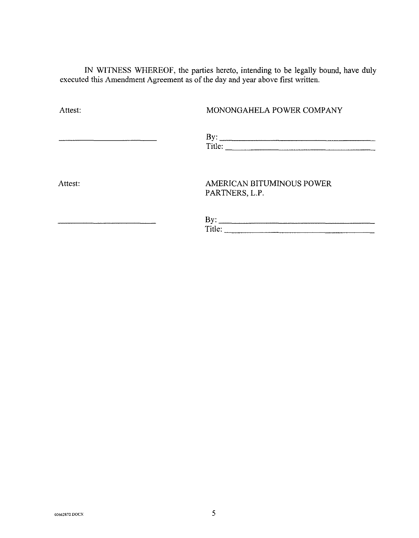**IN** WITNESS WHEREOF, the parties hereto, intending to be legally bound, have duly executed this Amendment Agreement as of the day and year above first written.

## Attest: MONONGAHELA POWER COMPANY

Title:

Attest:

## AMERICAN BITUMINOUS POWER PARTNERS, L.P.

| BV:<br>.<br>------           |  |
|------------------------------|--|
| Title <sup>.</sup><br>11.IV. |  |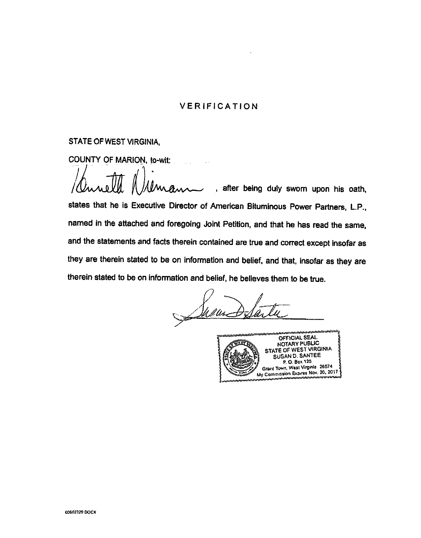## **VERIFICATION**

## **STATE OF WEST VIRGINIA,**

COUNTY OF MARION, to-wit:

*<sup>i</sup>lhd!* , after being duly **sworn** upon his oath, states that he is Executive Director of Amerlcan Bituminous Power Partners, L.P., named in the attached and foregoing Joint Petition, and that he has read the same, and the statements and facts therein contained are true and correct except insofar as they are therein stated to be on information and belief, and that, insofar as they are therein stated to be on infomation and belief, he believes them to be true.